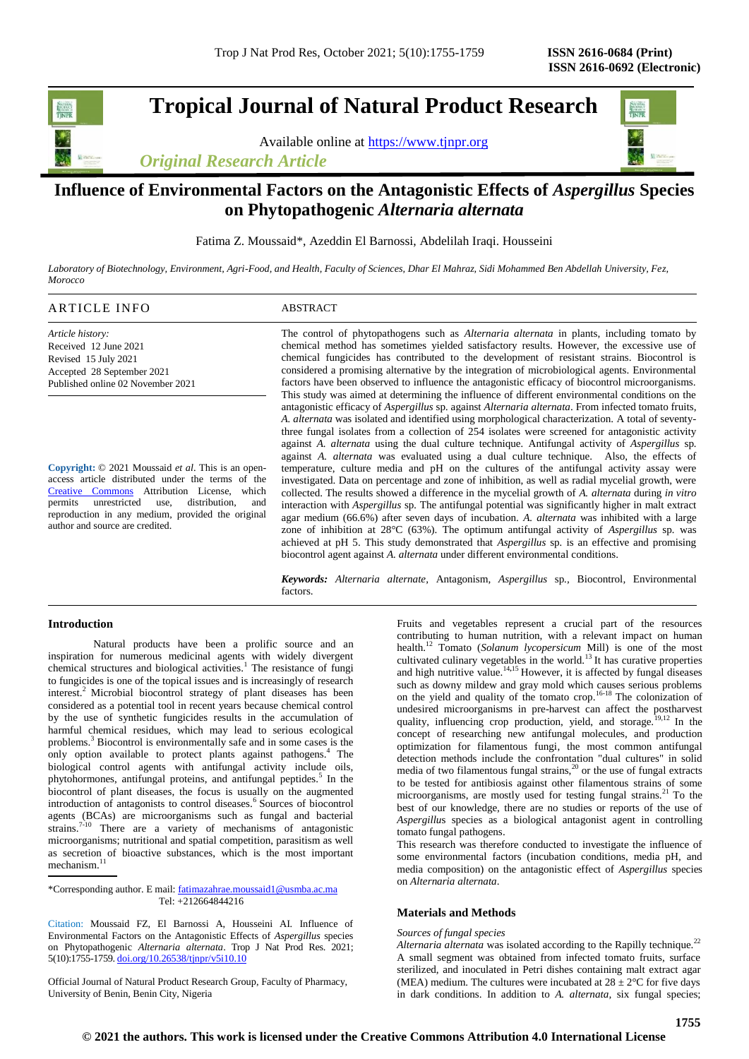## **Tropical Journal of Natural Product Research**

Available online at [https://www.tjnpr.org](https://www.tjnpr.org/)

*Original Research Article*



## **Influence of Environmental Factors on the Antagonistic Effects of** *Aspergillus* **Species on Phytopathogenic** *Alternaria alternata*

Fatima Z. Moussaid\*, Azeddin El Barnossi, Abdelilah Iraqi. Housseini

*Laboratory of Biotechnology, Environment, Agri-Food, and Health, Faculty of Sciences, Dhar El Mahraz, Sidi Mohammed Ben Abdellah University, Fez, Morocco*

| ARTICLE INFO                      | ABSTRACT                                                                                                                                                                                                             |
|-----------------------------------|----------------------------------------------------------------------------------------------------------------------------------------------------------------------------------------------------------------------|
| Article history:                  | The control of phytopathogens such as <i>Alternaria alternata</i> in plants, including tomato by                                                                                                                     |
| Received 12 June 2021             | chemical method has sometimes yielded satisfactory results. However, the excessive use of                                                                                                                            |
| Revised 15 July 2021              | chemical fungicides has contributed to the development of resistant strains. Biocontrol is                                                                                                                           |
| Accepted 28 September 2021        | considered a promising alternative by the integration of microbiological agents. Environmental                                                                                                                       |
| Published online 02 November 2021 | factors have been observed to influence the antagonistic efficacy of biocontrol microorganisms.                                                                                                                      |
|                                   | This study was aimed at determining the influence of different environmental conditions on the<br>antagonistic efficacy of <i>Aspergillus</i> sp. against <i>Alternaria alternata</i> . From infected tomato fruits, |

**Copyright:** © 2021 Moussaid *et al*. This is an openaccess article distributed under the terms of the [Creative Commons](https://creativecommons.org/licenses/by/4.0/) Attribution License, which<br>permits unrestricted use, distribution. and unrestricted use, distribution, and reproduction in any medium, provided the original author and source are credited.

*A. alternata* was isolated and identified using morphological characterization. A total of seventythree fungal isolates from a collection of 254 isolates were screened for antagonistic activity against *A. alternata* using the dual culture technique*.* Antifungal activity of *Aspergillus* sp*.* against *A. alternata* was evaluated using a dual culture technique. Also, the effects of temperature, culture media and pH on the cultures of the antifungal activity assay were investigated. Data on percentage and zone of inhibition, as well as radial mycelial growth, were collected. The results showed a difference in the mycelial growth of *A. alternata* during *in vitro* interaction with *Aspergillus* sp*.* The antifungal potential was significantly higher in malt extract agar medium (66.6%) after seven days of incubation. *A. alternata* was inhibited with a large zone of inhibition at 28°C (63%). The optimum antifungal activity of *Aspergillus* sp*.* was achieved at pH 5. This study demonstrated that *Aspergillus* sp*.* is an effective and promising biocontrol agent against *A. alternata* under different environmental conditions.

*Keywords: Alternaria alternate,* Antagonism*, Aspergillus* sp*.,* Biocontrol*,* Environmental factors.

## **Introduction**

Natural products have been a prolific source and an inspiration for numerous medicinal agents with widely divergent chemical structures and biological activities.<sup>1</sup> The resistance of fungi to fungicides is one of the topical issues and is increasingly of research interest.<sup>2</sup> Microbial biocontrol strategy of plant diseases has been considered as a potential tool in recent years because chemical control by the use of synthetic fungicides results in the accumulation of harmful chemical residues, which may lead to serious ecological problems.<sup>3</sup> Biocontrol is environmentally safe and in some cases is the only option available to protect plants against pathogens.<sup>4</sup> The biological control agents with antifungal activity include oils, phytohormones, antifungal proteins, and antifungal peptides.<sup>5</sup> In the biocontrol of plant diseases, the focus is usually on the augmented introduction of antagonists to control diseases.<sup>6</sup> Sources of biocontrol agents (BCAs) are microorganisms such as fungal and bacterial strains.<sup>7-10</sup> There are a variety of mechanisms of antagonistic microorganisms; nutritional and spatial competition, parasitism as well as secretion of bioactive substances, which is the most important mechanism.<sup>11</sup>

\*Corresponding author. E mail[: fatimazahrae.moussaid1@usmba.ac.ma](mailto:fatimazahrae.moussaid1@usmba.ac.ma) Tel: +212664844216

Citation: Moussaid FZ, El Barnossi A, Housseini AI. Influence of Environmental Factors on the Antagonistic Effects of *Aspergillus* species on Phytopathogenic *Alternaria alternata*. Trop J Nat Prod Res. 2021; 5(10):1755-1759. [doi.org/10.26538/tjnpr/v5i10.1](http://www.doi.org/10.26538/tjnpr/v1i4.5)0

Official Journal of Natural Product Research Group, Faculty of Pharmacy, University of Benin, Benin City, Nigeria

Fruits and vegetables represent a crucial part of the resources contributing to human nutrition, with a relevant impact on human health.<sup>12</sup> Tomato (*Solanum lycopersicum* Mill) is one of the most cultivated culinary vegetables in the world.<sup>13</sup> It has curative properties and high nutritive value.<sup>14,15</sup> However, it is affected by fungal diseases such as downy mildew and gray mold which causes serious problems on the yield and quality of the tomato crop.16-18 The colonization of undesired microorganisms in pre-harvest can affect the postharvest quality, influencing crop production, yield, and storage.<sup>19,12</sup> In the concept of researching new antifungal molecules, and production optimization for filamentous fungi, the most common antifungal detection methods include the confrontation "dual cultures" in solid media of two filamentous fungal strains, $20$  or the use of fungal extracts to be tested for antibiosis against other filamentous strains of some microorganisms, are mostly used for testing fungal strains.<sup>21</sup> To the best of our knowledge, there are no studies or reports of the use of *Aspergillu*s species as a biological antagonist agent in controlling tomato fungal pathogens.

This research was therefore conducted to investigate the influence of some environmental factors (incubation conditions, media pH, and media composition) on the antagonistic effect of *Aspergillus* species on *Alternaria alternata*.

## **Materials and Methods**

#### *Sources of fungal species*

*Alternaria alternata* was isolated according to the Rapilly technique.<sup>22</sup> A small segment was obtained from infected tomato fruits, surface sterilized, and inoculated in Petri dishes containing malt extract agar (MEA) medium. The cultures were incubated at  $28 \pm 2^{\circ}$ C for five days in dark conditions. In addition to *A. alternata,* six fungal species;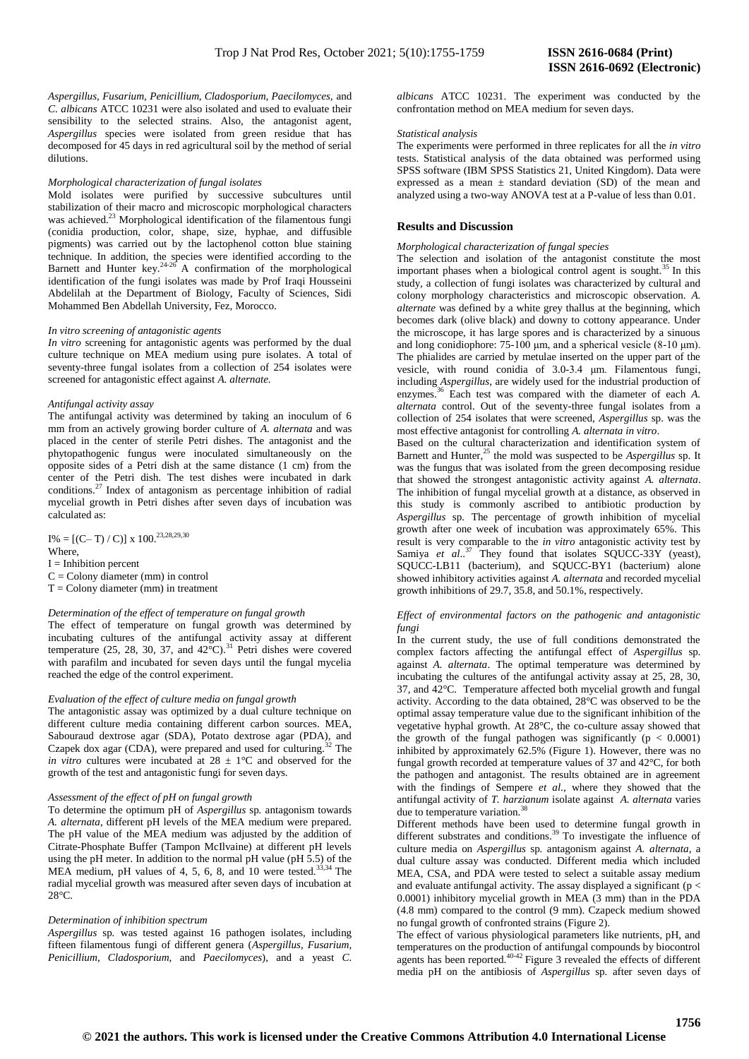*Aspergillus, Fusarium, Penicillium, Cladosporium, Paecilomyces,* and *C. albicans* ATCC 10231 were also isolated and used to evaluate their sensibility to the selected strains. Also, the antagonist agent, *Aspergillus* species were isolated from green residue that has decomposed for 45 days in red agricultural soil by the method of serial dilutions.

#### *Morphological characterization of fungal isolates*

Mold isolates were purified by successive subcultures until stabilization of their macro and microscopic morphological characters was achieved.<sup>23</sup> Morphological identification of the filamentous fungi (conidia production, color, shape, size, hyphae, and diffusible pigments) was carried out by the lactophenol cotton blue staining technique. In addition, the species were identified according to the Barnett and Hunter key. $24-26$  A confirmation of the morphological identification of the fungi isolates was made by Prof Iraqi Housseini Abdelilah at the Department of Biology, Faculty of Sciences, Sidi Mohammed Ben Abdellah University, Fez, Morocco.

#### *In vitro screening of antagonistic agents*

*In vitro* screening for antagonistic agents was performed by the dual culture technique on MEA medium using pure isolates. A total of seventy-three fungal isolates from a collection of 254 isolates were screened for antagonistic effect against *A. alternate.* 

## *Antifungal activity assay*

The antifungal activity was determined by taking an inoculum of 6 mm from an actively growing border culture of *A. alternata* and was placed in the center of sterile Petri dishes. The antagonist and the phytopathogenic fungus were inoculated simultaneously on the opposite sides of a Petri dish at the same distance (1 cm) from the center of the Petri dish. The test dishes were incubated in dark conditions.<sup>27</sup> Index of antagonism as percentage inhibition of radial mycelial growth in Petri dishes after seven days of incubation was calculated as:

I% = [(C– T) / C)] x 100.<sup>23,28,29,30</sup> Where,  $I = Inhibition percent$  $C =$  Colony diameter (mm) in control  $T =$  Colony diameter (mm) in treatment

#### *Determination of the effect of temperature on fungal growth*

The effect of temperature on fungal growth was determined by incubating cultures of the antifungal activity assay at different temperature (25, 28, 30, 37, and  $42^{\circ}$ C).<sup>31</sup> Petri dishes were covered with parafilm and incubated for seven days until the fungal mycelia reached the edge of the control experiment.

#### *Evaluation of the effect of culture media on fungal growth*

The antagonistic assay was optimized by a dual culture technique on different culture media containing different carbon sources. MEA, Sabouraud dextrose agar (SDA), Potato dextrose agar (PDA), and Czapek dox agar (CDA), were prepared and used for culturing.<sup>32</sup> The *in vitro* cultures were incubated at  $28 \pm 1$ °C and observed for the growth of the test and antagonistic fungi for seven days.

#### *Assessment of the effect of pH on fungal growth*

To determine the optimum pH of *Aspergillus* sp*.* antagonism towards *A. alternata*, different pH levels of the MEA medium were prepared. The pH value of the MEA medium was adjusted by the addition of Citrate-Phosphate Buffer (Tampon McIlvaine) at different pH levels using the pH meter. In addition to the normal pH value (pH 5.5) of the MEA medium, pH values of 4, 5, 6, 8, and 10 were tested.<sup>33,34</sup> The radial mycelial growth was measured after seven days of incubation at 28°C.

#### *Determination of inhibition spectrum*

*Aspergillus* sp*.* was tested against 16 pathogen isolates, including fifteen filamentous fungi of different genera (*Aspergillus, Fusarium, Penicillium, Cladosporium,* and *Paecilomyces*), and a yeast *C.* 

*albicans* ATCC 10231. The experiment was conducted by the confrontation method on MEA medium for seven days.

#### *Statistical analysis*

The experiments were performed in three replicates for all the *in vitro* tests. Statistical analysis of the data obtained was performed using SPSS software (IBM SPSS Statistics 21, United Kingdom). Data were expressed as a mean  $\pm$  standard deviation (SD) of the mean and analyzed using a two-way ANOVA test at a P-value of less than 0.01.

## **Results and Discussion**

#### *Morphological characterization of fungal species*

The selection and isolation of the antagonist constitute the most important phases when a biological control agent is sought.<sup>35</sup> In this study, a collection of fungi isolates was characterized by cultural and colony morphology characteristics and microscopic observation. *A. alternate* was defined by a white grey thallus at the beginning, which becomes dark (olive black) and downy to cottony appearance. Under the microscope, it has large spores and is characterized by a sinuous and long conidiophore: 75-100 μm, and a spherical vesicle (8-10 μm). The phialides are carried by metulae inserted on the upper part of the vesicle, with round conidia of 3.0-3.4 μm. Filamentous fungi, including *Aspergillus*, are widely used for the industrial production of enzymes. <sup>36</sup> Each test was compared with the diameter of each *A. alternata* control. Out of the seventy-three fungal isolates from a collection of 254 isolates that were screened, *Aspergillus* sp. was the most effective antagonist for controlling *A. alternata in vitro*.

Based on the cultural characterization and identification system of Barnett and Hunter,<sup>25</sup> the mold was suspected to be *Aspergillus* sp. It was the fungus that was isolated from the green decomposing residue that showed the strongest antagonistic activity against *A. alternata*. The inhibition of fungal mycelial growth at a distance, as observed in this study is commonly ascribed to antibiotic production by *Aspergillus* sp*.* The percentage of growth inhibition of mycelial growth after one week of incubation was approximately 65%. This result is very comparable to the *in vitro* antagonistic activity test by Samiya et al..<sup>37</sup> They found that isolates SQUCC-33Y (yeast), SQUCC-LB11 (bacterium), and SQUCC-BY1 (bacterium) alone showed inhibitory activities against *A. alternata* and recorded mycelial growth inhibitions of 29.7, 35.8, and 50.1%, respectively.

### *Effect of environmental factors on the pathogenic and antagonistic fungi*

In the current study, the use of full conditions demonstrated the complex factors affecting the antifungal effect of *Aspergillus* sp*.* against *A. alternata*. The optimal temperature was determined by incubating the cultures of the antifungal activity assay at 25, 28, 30, 37, and 42°C. Temperature affected both mycelial growth and fungal activity. According to the data obtained, 28°C was observed to be the optimal assay temperature value due to the significant inhibition of the vegetative hyphal growth. At 28°C, the co-culture assay showed that the growth of the fungal pathogen was significantly  $(p < 0.0001)$ inhibited by approximately 62.5% (Figure 1). However, there was no fungal growth recorded at temperature values of 37 and 42°C, for both the pathogen and antagonist. The results obtained are in agreement with the findings of Sempere *et al*., where they showed that the antifungal activity of *T. harzianum* isolate against *A. alternata* varies due to temperature variation.<sup>3</sup>

Different methods have been used to determine fungal growth in different substrates and conditions.<sup>39</sup> To investigate the influence of culture media on *Aspergillus* sp*.* antagonism against *A. alternata*, a dual culture assay was conducted. Different media which included MEA, CSA, and PDA were tested to select a suitable assay medium and evaluate antifungal activity. The assay displayed a significant ( $p <$ 0.0001) inhibitory mycelial growth in MEA (3 mm) than in the PDA (4.8 mm) compared to the control (9 mm). Czapeck medium showed no fungal growth of confronted strains (Figure 2).

The effect of various physiological parameters like nutrients, pH, and temperatures on the production of antifungal compounds by biocontrol agents has been reported. $40-42$  Figure 3 revealed the effects of different media pH on the antibiosis of *Aspergillus* sp*.* after seven days of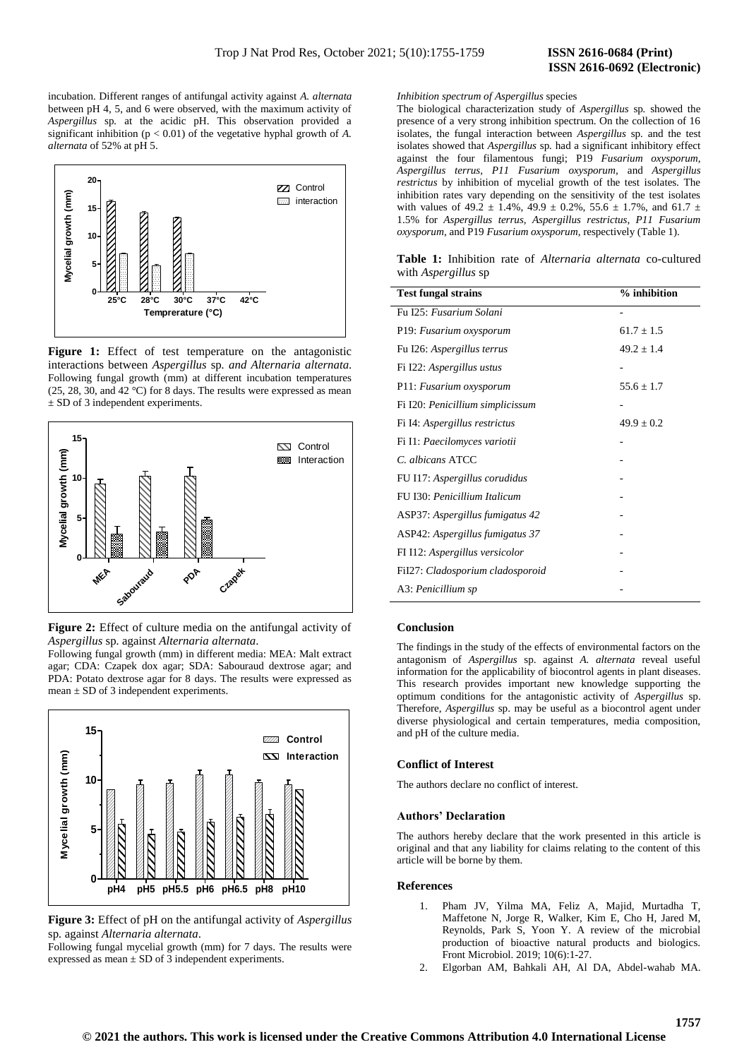# **ISSN 2616-0692 (Electronic)**

incubation. Different ranges of antifungal activity against *A. alternata* between pH 4, 5, and 6 were observed, with the maximum activity of *Aspergillus* sp*.* at the acidic pH. This observation provided a significant inhibition ( $p < 0.01$ ) of the vegetative hyphal growth of *A*. *alternata* of 52% at pH 5.



Figure 1: Effect of test temperature on the antagonistic interactions between *Aspergillus* sp*. and Alternaria alternata*. Following fungal growth (mm) at different incubation temperatures (25, 28, 30, and 42 °C) for 8 days. The results were expressed as mean  $\pm$  SD of 3 independent experiments.



**Figure 2:** Effect of culture media on the antifungal activity of *Aspergillus* sp*.* against *Alternaria alternata*.

Following fungal growth (mm) in different media: MEA: Malt extract agar; CDA: Czapek dox agar; SDA: Sabouraud dextrose agar; and PDA: Potato dextrose agar for 8 days. The results were expressed as mean  $\pm$  SD of 3 independent experiments.



**Figure 3:** Effect of pH on the antifungal activity of *Aspergillus*  sp*.* against *Alternaria alternata*.

Following fungal mycelial growth (mm) for 7 days. The results were expressed as mean  $\pm$  SD of 3 independent experiments.

## *Inhibition spectrum of Aspergillus* species

The biological characterization study of *Aspergillus* sp*.* showed the presence of a very strong inhibition spectrum. On the collection of 16 isolates, the fungal interaction between *Aspergillus* sp*.* and the test isolates showed that *Aspergillus* sp*.* had a significant inhibitory effect against the four filamentous fungi; P19 *Fusarium oxysporum, Aspergillus terrus, P11 Fusarium oxysporum,* and *Aspergillus restrictus* by inhibition of mycelial growth of the test isolates. The inhibition rates vary depending on the sensitivity of the test isolates with values of 49.2  $\pm$  1.4%, 49.9  $\pm$  0.2%, 55.6  $\pm$  1.7%, and 61.7  $\pm$ 1.5% for *Aspergillus terrus, Aspergillus restrictus, P11 Fusarium oxysporum*, and P19 *Fusarium oxysporum*, respectively (Table 1).

**Table 1:** Inhibition rate of *Alternaria alternata* co-cultured with *Aspergillus* sp

| <b>Test fungal strains</b>       | % inhibition   |
|----------------------------------|----------------|
| Fu I25: Fusarium Solani          |                |
| P19: Fusarium oxysporum          | $61.7 \pm 1.5$ |
| Fu I26: Aspergillus terrus       | $49.2 \pm 1.4$ |
| Fi I22: Aspergillus ustus        |                |
| P11: Fusarium oxysporum          | $55.6 \pm 1.7$ |
| Fi I20: Penicillium simplicissum |                |
| Fi I4: Aspergillus restrictus    | $49.9 \pm 0.2$ |
| Fi I1: Paecilomyces variotii     |                |
| C. albicans ATCC                 |                |
| FU I17: Aspergillus corudidus    |                |
| FU I30: Penicillium Italicum     |                |
| ASP37: Aspergillus fumigatus 42  |                |
| ASP42: Aspergillus fumigatus 37  |                |
| FI I12: Aspergillus versicolor   |                |
| FiI27: Cladosporium cladosporoid |                |
| A3: Penicillium sp               |                |

#### **Conclusion**

The findings in the study of the effects of environmental factors on the antagonism of *Aspergillus* sp. against *A. alternata* reveal useful information for the applicability of biocontrol agents in plant diseases. This research provides important new knowledge supporting the optimum conditions for the antagonistic activity of *Aspergillus* sp. Therefore, *Aspergillus* sp. may be useful as a biocontrol agent under diverse physiological and certain temperatures, media composition, and pH of the culture media.

## **Conflict of Interest**

The authors declare no conflict of interest.

## **Authors' Declaration**

The authors hereby declare that the work presented in this article is original and that any liability for claims relating to the content of this article will be borne by them.

## **References**

- 1. Pham JV, Yilma MA, Feliz A, Majid, Murtadha T, Maffetone N, Jorge R, Walker, Kim E, Cho H, Jared M, Reynolds, Park S, Yoon Y. A review of the microbial production of bioactive natural products and biologics. Front Microbiol. 2019; 10(6):1-27.
- 2. Elgorban AM, Bahkali AH, Al DA, Abdel-wahab MA.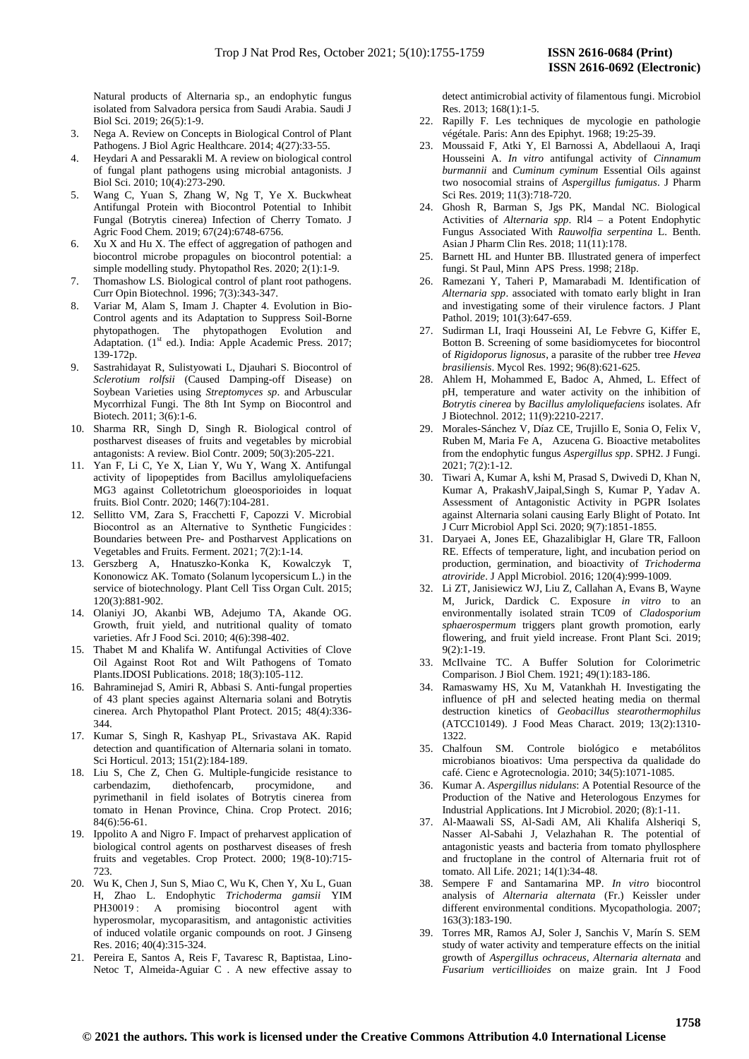Natural products of Alternaria sp., an endophytic fungus isolated from Salvadora persica from Saudi Arabia. Saudi J Biol Sci. 2019; 26(5):1-9.

- 3. Nega A. Review on Concepts in Biological Control of Plant Pathogens. J Biol Agric Healthcare. 2014; 4(27):33-55.
- 4. Heydari A and Pessarakli M. A review on biological control of fungal plant pathogens using microbial antagonists. J Biol Sci. 2010; 10(4):273-290.
- 5. Wang C, Yuan S, Zhang W, Ng T, Ye X. Buckwheat Antifungal Protein with Biocontrol Potential to Inhibit Fungal (Botrytis cinerea) Infection of Cherry Tomato. J Agric Food Chem. 2019; 67(24):6748-6756.
- 6. Xu X and Hu X. The effect of aggregation of pathogen and biocontrol microbe propagules on biocontrol potential: a simple modelling study. Phytopathol Res. 2020; 2(1):1-9.
- 7. Thomashow LS. Biological control of plant root pathogens. Curr Opin Biotechnol. 1996; 7(3):343-347.
- 8. Variar M, Alam S, Imam J. Chapter 4. Evolution in Bio-Control agents and its Adaptation to Suppress Soil-Borne phytopathogen. The phytopathogen Evolution and Adaptation. (1<sup>st</sup> ed.). India: Apple Academic Press. 2017; 139-172p.
- 9. Sastrahidayat R, Sulistyowati L, Djauhari S. Biocontrol of *Sclerotium rolfsii* (Caused Damping-off Disease) on Soybean Varieties using *Streptomyces sp*. and Arbuscular Mycorrhizal Fungi. The 8th Int Symp on Biocontrol and Biotech. 2011; 3(6):1-6.
- 10. Sharma RR, Singh D, Singh R. Biological control of postharvest diseases of fruits and vegetables by microbial antagonists: A review. Biol Contr. 2009; 50(3):205-221.
- 11. Yan F, Li C, Ye X, Lian Y, Wu Y, Wang X. Antifungal activity of lipopeptides from Bacillus amyloliquefaciens MG3 against Colletotrichum gloeosporioides in loquat fruits. Biol Contr. 2020; 146(7):104-281.
- 12. Sellitto VM, Zara S, Fracchetti F, Capozzi V. Microbial Biocontrol as an Alternative to Synthetic Fungicides : Boundaries between Pre- and Postharvest Applications on Vegetables and Fruits. Ferment. 2021; 7(2):1-14.
- 13. Gerszberg A, Hnatuszko-Konka K, Kowalczyk T, Kononowicz AK. Tomato (Solanum lycopersicum L.) in the service of biotechnology. Plant Cell Tiss Organ Cult. 2015; 120(3):881-902.
- 14. Olaniyi JO, Akanbi WB, Adejumo TA, Akande OG. Growth, fruit yield, and nutritional quality of tomato varieties. Afr J Food Sci. 2010; 4(6):398-402.
- 15. Thabet M and Khalifa W. Antifungal Activities of Clove Oil Against Root Rot and Wilt Pathogens of Tomato Plants.IDOSI Publications. 2018; 18(3):105-112.
- 16. Bahraminejad S, Amiri R, Abbasi S. Anti-fungal properties of 43 plant species against Alternaria solani and Botrytis cinerea. Arch Phytopathol Plant Protect. 2015; 48(4):336- 344.
- 17. Kumar S, Singh R, Kashyap PL, Srivastava AK. Rapid detection and quantification of Alternaria solani in tomato. Sci Horticul. 2013; 151(2):184-189.
- 18. Liu S, Che Z, Chen G. Multiple-fungicide resistance to carbendazim, diethofencarb, procymidone, and pyrimethanil in field isolates of Botrytis cinerea from tomato in Henan Province, China*.* Crop Protect. 2016; 84(6):56-61.
- 19. Ippolito A and Nigro F. Impact of preharvest application of biological control agents on postharvest diseases of fresh fruits and vegetables. Crop Protect. 2000; 19(8-10):715- 723.
- 20. Wu K, Chen J, Sun S, Miao C, Wu K, Chen Y, Xu L, Guan H, Zhao L. Endophytic *Trichoderma gamsii* YIM PH30019: A promising biocontrol hyperosmolar, mycoparasitism, and antagonistic activities of induced volatile organic compounds on root. J Ginseng Res. 2016; 40(4):315-324.
- 21. Pereira E, Santos A, Reis F, Tavaresc R, Baptistaa, Lino-Netoc T, Almeida-Aguiar C . A new effective assay to

detect antimicrobial activity of filamentous fungi. Microbiol Res. 2013; 168(1):1-5.

 **ISSN 2616-0692 (Electronic)** 

- 22. Rapilly F. Les techniques de mycologie en pathologie végétale. Paris: Ann des Epiphyt. 1968; 19:25-39.
- 23. Moussaid F, Atki Y, El Barnossi A, Abdellaoui A, Iraqi Housseini A. *In vitro* antifungal activity of *Cinnamum burmannii* and *Cuminum cyminum* Essential Oils against two nosocomial strains of *Aspergillus fumigatus*. J Pharm Sci Res. 2019; 11(3):718-720.
- 24. Ghosh R, Barman S, Jgs PK, Mandal NC. Biological Activities of *Alternaria spp*. Rl4 – a Potent Endophytic Fungus Associated With *Rauwolfia serpentina* L. Benth. Asian J Pharm Clin Res. 2018; 11(11):178.
- 25. Barnett HL and Hunter BB. Illustrated genera of imperfect fungi. St Paul, Minn APS Press. 1998; 218p.
- 26. Ramezani Y, Taheri P, Mamarabadi M. Identification of *Alternaria spp*. associated with tomato early blight in Iran and investigating some of their virulence factors. J Plant Pathol. 2019; 101(3):647-659.
- 27. Sudirman LI, Iraqi Housseini AI, Le Febvre G, Kiffer E, Botton B. Screening of some basidiomycetes for biocontrol of *Rigidoporus lignosus*, a parasite of the rubber tree *Hevea brasiliensis*. Mycol Res. 1992; 96(8):621-625.
- 28. Ahlem H, Mohammed E, Badoc A, Ahmed, L. Effect of pH, temperature and water activity on the inhibition of *Botrytis cinerea* by *Bacillus amyloliquefaciens* isolates. Afr J Biotechnol. 2012; 11(9):2210-2217.
- 29. Morales-Sánchez V, Díaz CE, Trujillo E, Sonia O, Felix V, Ruben M, Maria Fe A, Azucena G. Bioactive metabolites from the endophytic fungus *Aspergillus spp*. SPH2. J Fungi. 2021; 7(2):1-12.
- 30. Tiwari A, Kumar A, kshi M, Prasad S, Dwivedi D, Khan N, Kumar A, PrakashV,Jaipal,Singh S, Kumar P, Yadav A. Assessment of Antagonistic Activity in PGPR Isolates against Alternaria solani causing Early Blight of Potato. Int J Curr Microbiol Appl Sci. 2020; 9(7):1851-1855.
- 31. Daryaei A, Jones EE, Ghazalibiglar H, Glare TR, Falloon RE. Effects of temperature, light, and incubation period on production, germination, and bioactivity of *Trichoderma atroviride*. J Appl Microbiol. 2016; 120(4):999-1009.
- 32. Li ZT, Janisiewicz WJ, Liu Z, Callahan A, Evans B, Wayne M, Jurick, Dardick C. Exposure *in vitro* to an environmentally isolated strain TC09 of *Cladosporium sphaerospermum* triggers plant growth promotion, early flowering, and fruit yield increase. Front Plant Sci. 2019; 9(2):1-19.
- 33. McIlvaine TC. A Buffer Solution for Colorimetric Comparison. J Biol Chem. 1921; 49(1):183-186.
- 34. Ramaswamy HS, Xu M, Vatankhah H. Investigating the influence of pH and selected heating media on thermal destruction kinetics of *Geobacillus stearothermophilus*  (ATCC10149). J Food Meas Charact. 2019; 13(2):1310- 1322.
- 35. Chalfoun SM. Controle biológico e metabólitos microbianos bioativos: Uma perspectiva da qualidade do café. Cienc e Agrotecnologia. 2010; 34(5):1071-1085.
- 36. Kumar A. *Aspergillus nidulans*: A Potential Resource of the Production of the Native and Heterologous Enzymes for Industrial Applications. Int J Microbiol. 2020; (8):1-11.
- 37. Al-Maawali SS, Al-Sadi AM, Ali Khalifa Alsheriqi S, Nasser Al-Sabahi J, Velazhahan R. The potential of antagonistic yeasts and bacteria from tomato phyllosphere and fructoplane in the control of Alternaria fruit rot of tomato. All Life. 2021; 14(1):34-48.
- 38. Sempere F and Santamarina MP. *In vitro* biocontrol analysis of *Alternaria alternata* (Fr.) Keissler under different environmental conditions. Mycopathologia. 2007; 163(3):183-190.
- 39. Torres MR, Ramos AJ, Soler J, Sanchis V, Marín S. SEM study of water activity and temperature effects on the initial growth of *Aspergillus ochraceus*, *Alternaria alternata* and *Fusarium verticillioides* on maize grain. Int J Food